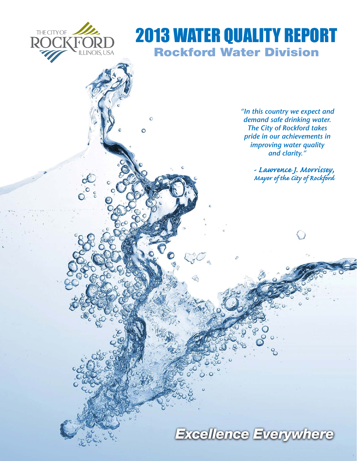

 $\circ$ 

# 2013 WATER QUALITY REPORT **Rockford Water Division**

*"In this country we expect and demand safe drinking water. The City of Rockford takes pride in our achievements in improving water quality and clarity."*

> *- Lawrence J. Morrissey, Mayor of the City of Rockford*

# *Excellence Everywhere*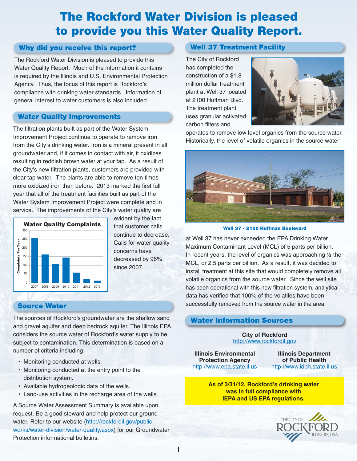## **The Rockford Water Division is pleased to provide you this Water Quality Report.**

## **Why did you receive this report?**

The Rockford Water Division is pleased to provide this Water Quality Report. Much of the information it contains is required by the Illinois and U.S. Environmental Protection Agency. Thus, the focus of this report is Rockford's compliance with drinking water standards. Information of general interest to water customers is also included.

## **Water Quality Improvements**

The filtration plants built as part of the Water System Improvement Project continue to operate to remove iron from the City's drinking water. Iron is a mineral present in all groundwater and, if it comes in contact with air, it oxidizes resulting in reddish brown water at your tap. As a result of the City's new filtration plants, customers are provided with clear tap water. The plants are able to remove ten times more oxidized iron than before. 2013 marked the first full year that all of the treatment facilities built as part of the Water System Improvement Project were complete and in service. The improvements of the City's water quality are



evident by the fact that customer calls continue to decrease. Calls for water quality concerns have decreased by 96% since 2007.

### **Source Water**

The sources of Rockford's groundwater are the shallow sand and gravel aquifer and deep bedrock aquifer. The Illinois EPA considers the source water of Rockford's water supply to be subject to contamination. This determination is based on a number of criteria including:

- Monitoring conducted at wells.
- Monitoring conducted at the entry point to the distribution system.
- Available hydrogeologic data of the wells.
- Land-use activities in the recharge area of the wells.

A Source Water Assessment Summary is available upon request. Be a good steward and help protect our ground water. Refer to our website (http://rockfordil.gov/public works/water-division/water-quality.aspx) for our Groundwater Protection informational bulletins.

## **Well 37 Treatment Facility**

The City of Rockford has completed the construction of a \$1.8 million dollar treatment plant at Well 37 located at 2100 Huffman Blvd. The treatment plant uses granular activated carbon filters and



operates to remove low level organics from the source water. Historically, the level of volatile organics in the source water



**Well 37 - 2100 Huffman Boulevard**

at Well 37 has never exceeded the EPA Drinking Water Maximum Contaminant Level (MCL) of 5 parts per billion. In recent years, the level of organics was approaching  $\frac{1}{2}$  the MCL, or 2.5 parts per billion. As a result, it was decided to install treatment at this site that would completely remove all volatile organics from the source water. Since the well site has been operational with this new filtration system, analytical data has verified that 100% of the volatiles have been successfully removed from the source water in the area.

## **Water Information Sources**

**City of Rockford** http://www.rockfordil.gov

**Illinois Environmental Protection Agency** http://www.epa.state.il.us

**Illinois Department of Public Health** http://www.idph.state.il.us

**As of 3/31/12, Rockford's drinking water was in full compliance with IEPA and US EPA regulations.**



1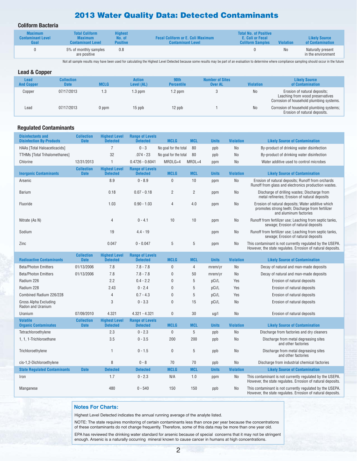## **2013 Water Quality Data: Detected Contaminants**

#### **Coliform Bacteria**

| <b>Contaminant Level</b> | <b>Maximum</b>                        | No. of          | <b>Fecal Coliform or E. Coli Maximum</b> | E. Coli or Fecal        | <b>Violation</b> | <b>Likely Source</b>                    |
|--------------------------|---------------------------------------|-----------------|------------------------------------------|-------------------------|------------------|-----------------------------------------|
| Goal                     | <b>Contaminant Level</b>              | <b>Positive</b> | <b>Contaminant Level</b>                 | <b>Coliform Samples</b> |                  | of Contamination                        |
| 0                        | 5% of monthly samples<br>are positive | 0.8             |                                          |                         | No               | Naturally present<br>in the environment |

Not all sample results may have been used for calculating the Highest Level Detected because some results may be part of an evaluation to determine where compliance sampling should occur in the future

| <b>Lead &amp; Copper</b>         |                                  |             |                             |                           |                                          |                  |                                                                                                              |
|----------------------------------|----------------------------------|-------------|-----------------------------|---------------------------|------------------------------------------|------------------|--------------------------------------------------------------------------------------------------------------|
| <b>Lead</b><br><b>And Copper</b> | <b>Collection</b><br><b>Date</b> | <b>MCLG</b> | <b>Action</b><br>Level (AL) | 90th<br><b>Percentile</b> | <b>Number of Sites</b><br><b>Over AL</b> | <b>Violation</b> | <b>Likely Source</b><br>of Contamination                                                                     |
| Copper                           | 07/17/2013                       | 1.3         | 1.3 ppm                     | 1.2 ppm                   |                                          | <b>No</b>        | Erosion of natural deposits;<br>Leaching from wood preservatives<br>Corrosion of household plumbing systems. |
| Lead                             | 07/17/2013                       | $0$ ppm     | $15$ ppb                    | 12 ppb                    |                                          | <b>No</b>        | Corrosion of household plumbing systems;<br>Erosion of natural deposits.                                     |

#### **Regulated Contaminants**

| <b>Disinfectants and</b><br><b>Disinfection By-Products</b> | <b>Collection</b><br><b>Date</b> | <b>Highest Level</b><br><b>Detected</b> | <b>Range of Levels</b><br><b>Detected</b> | <b>MCLG</b>           | <b>MCL</b>     | <b>Units</b> | <b>Violation</b> | <b>Likely Source of Contamination</b>                                                                                           |
|-------------------------------------------------------------|----------------------------------|-----------------------------------------|-------------------------------------------|-----------------------|----------------|--------------|------------------|---------------------------------------------------------------------------------------------------------------------------------|
| HAAs [Total Haloaceticacids]                                |                                  |                                         | $0 - 3$                                   | No goal for the total | 80             | ppb          | <b>No</b>        | By-product of drinking water disinfection                                                                                       |
| <b>TTHMs [Total Trihalomethanes]</b>                        |                                  | 32                                      | $.074 - 23$                               | No goal for the total | 80             | ppb          | <b>No</b>        | By-product of drinking water disinfection                                                                                       |
| Chlorine                                                    | 12/31/2013                       |                                         | $0.4726 - 0.6041$                         | $MRDLG=4$             | $MRDL=4$       | ppm          | <b>No</b>        | Water additive used to control microbes                                                                                         |
| <b>Inorganic Contaminants</b>                               | <b>Collection</b><br><b>Date</b> | <b>Highest Level</b><br><b>Detected</b> | <b>Range of Levels</b><br><b>Detected</b> | <b>MCLG</b>           | <b>MCL</b>     | <b>Units</b> | <b>Violation</b> | <b>Likely Source of Contamination</b>                                                                                           |
| Arsenic                                                     |                                  | 8.9                                     | $0 - 8.9$                                 | $\mathbf{0}$          | 10             | ppm          | N <sub>o</sub>   | Erosion of natural deposits; Runoff from orchards<br>Runoff from glass and electronics production wastes.                       |
| <b>Barium</b>                                               |                                  | 0.18                                    | $0.07 - 0.18$                             | $\overline{2}$        | $\overline{2}$ | ppm          | <b>No</b>        | Discharge of drilling wastes; Discharge from<br>metal refineries; Erosion of natural deposits                                   |
| Fluoride                                                    |                                  | 1.03                                    | $0.90 - 1.03$                             | $\overline{4}$        | 4.0            | ppm          | No               | Erosion of natural deposits; Water additive which<br>promotes strong teeth; Discharge from fertilizer<br>and aluminum factories |
| Nitrate (As N)                                              |                                  | $\overline{4}$                          | $0 - 4.1$                                 | 10                    | 10             | ppm          | No               | Runoff from fertilizer use; Leaching from septic tanks,<br>sewage; Erosion of natural deposits                                  |
| Sodium                                                      |                                  | 19                                      | $4.4 - 19$                                |                       |                | ppm          | No               | Runoff from fertilizer use; Leaching from septic tanks,<br>sewage; Erosion of natural deposits                                  |
| Zinc                                                        |                                  | 0.047                                   | $0 - 0.047$                               | 5                     | 5              | ppm          | <b>No</b>        | This contaminant is not currently regulated by the USEPA.<br>However, the state regulates. Errosion of natural deposits.        |

| <b>Radioactive Contaminants</b>                | <b>Collection</b><br><b>Date</b> | <b>Highest Level</b><br><b>Detected</b> | <b>Range of Levels</b><br><b>Detected</b> | <b>MCLG</b>  | <b>MCL</b>     | <b>Units</b> | <b>Violation</b> | <b>Likely Source of Contamination</b>                                                                                    |
|------------------------------------------------|----------------------------------|-----------------------------------------|-------------------------------------------|--------------|----------------|--------------|------------------|--------------------------------------------------------------------------------------------------------------------------|
| <b>Beta/Photon Emitters</b>                    | 01/13/2006                       | 7.8                                     | $7.8 - 7.8$                               | $\mathbf{0}$ | $\overline{4}$ | mrem/yr      | N <sub>o</sub>   | Decay of natural and man-made deposits                                                                                   |
| <b>Beta/Photon Emitters</b>                    | 01/13/2006                       | 7.8                                     | $7.8 - 7.8$                               | $\mathbf{0}$ | 50             | mrem/vr      | N <sub>o</sub>   | Decay of natural and man-made deposits                                                                                   |
| Radium 226                                     |                                  | 2.2                                     | $0.4 - 2.2$                               | $\mathbf{0}$ | 5              | pCi/L        | Yes              | Erosion of natural deposits                                                                                              |
| Radium 228                                     |                                  | 2.43                                    | $0 - 2.4$                                 | $\mathbf{0}$ | 5              | pCi/L        | Yes              | Erosion of natural deposits                                                                                              |
| Combined Radium 226/228                        |                                  | 4                                       | $0.7 - 4.3$                               | 0            | 5              | pCi/L        | Yes              | Erosion of natural deposits                                                                                              |
| Gross Alpha Excluding<br>Radon and Uranium     |                                  | 3                                       | $0 - 3.3$                                 | $\bf{0}$     | 15             | pCi/L        | No               | Erosion of natural deposits                                                                                              |
| Uranium                                        | 07/09/2010                       | 4.321                                   | $4.321 - 4.321$                           | $\mathbf 0$  | 30             | $\lg$ /l     | No               | Erosion of natural deposits                                                                                              |
| <b>Volatile</b><br><b>Organic Contaminates</b> | <b>Collection</b><br><b>Date</b> | <b>Highest Level</b><br><b>Detected</b> | <b>Range of Levels</b><br><b>Detected</b> | <b>MCLG</b>  | <b>MCL</b>     | <b>Units</b> | <b>Violation</b> | <b>Likely Source of Contamination</b>                                                                                    |
| Tetrachloroethylene                            |                                  | 2.3                                     | $0 - 2.3$                                 | $\mathbf{0}$ | 5              | ppb          | No               | Discharge from factories and dry cleaners                                                                                |
| 1, 1, 1-Trichloroethane                        |                                  | 3.5                                     | $0 - 3.5$                                 | 200          | 200            | ppb          | No               | Discharge from metal degreasing sites<br>and other factories                                                             |
| Trichloroethylene                              |                                  |                                         | $0 - 1.5$                                 | $\mathbf{0}$ | 5              | ppb          | No               | Discharge from metal degreasing sites<br>and other factories                                                             |
| cis-1,2-Dichloroethylene                       |                                  | 8                                       | $0 - 8$                                   | 70           | 70             | ppb          | No               | Discharge from industrial chemical factories                                                                             |
| <b>State Requiated Contaminants</b>            | <b>Date</b>                      | <b>Detected</b>                         | <b>Detected</b>                           | <b>MCLG</b>  | <b>MCL</b>     | <b>Units</b> | <b>Violation</b> | <b>Likely Source of Contamination</b>                                                                                    |
| Iron                                           |                                  | 1.7                                     | $0 - 2.3$                                 | N/A          | 1.0            | ppm          | No               | This contaminant is not currently regulated by the USEPA.<br>However, the state regulates. Errosion of natural deposits. |
| Manganese                                      |                                  | 480                                     | $0 - 540$                                 | 150          | 150            | ppb          | N <sub>o</sub>   | This contaminant is not currently regulated by the USEPA.<br>However, the state regulates. Errosion of natural deposits. |

#### **Notes For Charts:**

Highest Level Detected indicates the annual running average of the analyte listed.

NOTE: The state requires monitoring of certain contaminants less than once per year because the concentrations of these contaminants do not change frequently. Therefore, some of this data may be more than one year old.

EPA has reviewed the drinking water standard for arsenic because of special concerns that it may not be stringent enough. Arsenic is a naturally occurring mineral known to cause cancer in humans at high concentrations.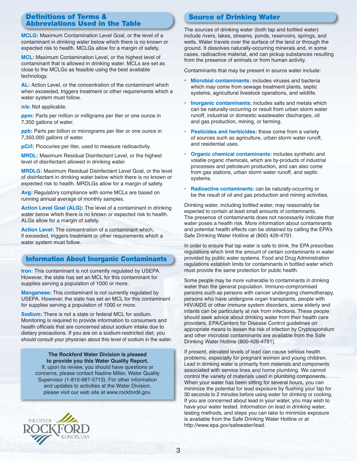#### **Definitions of Terms & Abbreviations Used in the Table**

**MCLG:** Maximum Contamination Level Goal, or the level of a contaminant in drinking water below which there is no known or expected risk to health. MCLGs allow for a margin of safety.

**MCL:** Maximum Contamination Level, or the highest level of contaminant that is allowed in drinking water. MCLs are set as close to the MCLGs as feasible using the best available technology.

**AL:** Action Level, or the concentration of the contaminant which when exceeded, triggers treatment or other requirements which a water system must follow.

**n/a:** Not applicable.

**ppm:** Parts per million or milligrams per liter or one ounce in 7,350 gallons of water.

**ppb:** Parts per billion or micrograms per liter or one ounce in 7,350,000 gallons of water.

**pCi/I:** Picocuries per liter, used to measure radioactivity.

**MRDL:** Maximum Residual Disinfectant Level, or the highest level of disinfectant allowed in drinking water.

**MRDLG:** Maximum Residual Disinfectant Level Goal, or the level of disinfectant in drinking water below which there is no known or expected risk to health. MRDLGs allow for a margin of safety.

**Avg:** Regulatory compliance with some MCLs are based on running annual average of monthly samples.

**Action Level Goal (ALG):** The level of a contaminant in drinking water below which there is no known or expected risk to health. ALGs allow for a margin of safety.

**Action Level:** The concentration of a contaminant which, if exceeded, triggers treatment or other requirements which a water system must follow.

## **Information About Inorganic Contaminants**

**Iron:** This contaminant is not currently regulated by USEPA. However, the state has set an MCL for this contaminant for supplies serving a population of 1000 or more.

**Manganese:** This contaminant is not currently regulated by USEPA. However, the state has set an MCL for this contaminant for supplies serving a population of 1000 or more.

**Sodium:** There is not a state or federal MCL for sodium. Monitoring is required to provide information to consumers and health officials that are concerned about sodium intake due to dietary precautions. If you are on a sodium-restricted diet, you should consult your physician about this level of sodium in the water.

#### **The Rockford Water Division is pleased to provide you this Water Quality Report.**

If, upon its review, you should have questions or concerns, please contact Nadine Miller, Water Quality Supervisor (1-815-987-5713). For other information and updates to activities at the Water Division, please visit our web site at www.rockfordil.gov.



## **Source of Drinking Water**

The sources of drinking water (both tap and bottled water) include rivers, lakes, streams, ponds, reservoirs, springs, and wells. Water travels over the surface of the land or through the ground. It dissolves naturally-occurring minerals and, in some cases, radioactive material, and can pickup substances resulting from the presence of animals or from human activity.

Contaminants that may be present in source water include:

- **Microbial contaminants:** includes viruses and bacteria which may come from sewage treatment plants, septic systems, agricultural livestock operations, and wildlife.
- **Inorganic contaminants:** includes salts and metals which can be naturally-occurring or result from urban storm water runoff, industrial or domestic wastewater discharges, oil and gas production, mining, or farming.
- **Pesticides and herbicides:** these come from a variety of sources such as agriculture, urban storm water runoff, and residential uses.
- **Organic chemical contaminants:** includes synthetic and volatile organic chemicals, which are by-products of industrial processes and petroleum production, and can also come from gas stations, urban storm water runoff, and septic systems.
- **Radioactive contaminants:** can be naturally-occurring or be the result of oil and gas production and mining activities.

Drinking water, including bottled water, may reasonably be expected to contain at least small amounts of contaminants. The presence of contaminants does not necessarily indicate that water poses a health risk. More information about contaminants and potential health effects can be obtained by calling the EPA's Safe Drinking Water Hotline at (800) 426-4791.

In order to ensure that tap water is safe to drink, the EPA prescribes regulations which limit the amount of certain contaminants in water provided by public water systems. Food and Drug Administration regulations establish limits for contaminants in bottled water which must provide the same protection for public health.

Some people may be more vulnerable to contaminants in drinking water than the general population. Immuno-compromised persons such as persons with cancer undergoing chemotherapy, persons who have undergone organ transplants, people with HIV/AIDS or other immune system disorders, some elderly and infants can be particularly at risk from infections. These people should seek advice about drinking water from their health care providers. EPA/Centers for Disease Control guidelines on appropriate means to lessen the risk of infection by Cryptosporidium and other microbial contaminants are available from the Safe Drinking Water Hotline (800-426-4791).

If present, elevated levels of lead can cause serious health problems, especially for pregnant women and young children. Lead in drinking water is primarily from materials and components associated with service lines and home plumbing. We cannot control the variety of materials used in plumbing components. When your water has been sitting for several hours, you can minimize the potential for lead exposure by flushing your tap for 30 seconds to 2 minutes before using water for drinking or cooking. If you are concerned about lead in your water, you may wish to have your water tested. Information on lead in drinking water, testing methods, and steps you can take to minimize exposure is available from the Safe Drinking Water Hotline or at http://www.epa.gov/safewater/lead.